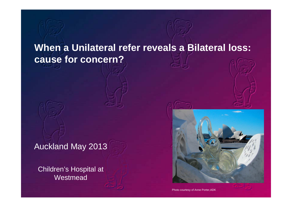# **When a Unilateral refer reveals a Bilateral loss: cause for concern?**

Auckland May 2013

Children's Hospital at **Westmead** 



Photo courtesy of Anne Porter,ADK

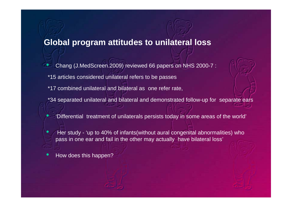### **Global program attitudes to unilateral loss**

- Chang (J.MedScreen.2009) reviewed 66 papers on NHS 2000-7 : \*15 articles considered unilateral refers to be passes
- \*17 combined unilateral and bilateral as one refer rate,
- \*34 separated unilateral and bilateral and demonstrated follow-up for separate ears
	- 'Differential treatment of unilaterals persists today in some areas of the world'
- Her study 'up to 40% of infants(without aural congenital abnormalities) who pass in one ear and fail in the other may actually have bilateral loss'
- How does this happen?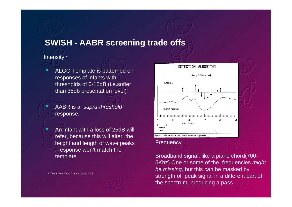## **SWISH - AABR screening trade offs**

#### Intensity \*

ALGO Template is patterned on responses of infants with thresholds of 0-15dB (i.e.softer than 35db presentation level)

• AABR is a *supra-threshold* response.

• An infant with a loss of 25dB will refer, because this will alter the height and length of wave peaks : response won't match the template.

\* Taken from Natus Clinical Series No.3



#### **Frequency**

Broadband signal, like a piano chord(700- 5Khz).One or some of the frequencies *might be missing,* but this can be masked by strength of peak signal in a different part of the spectrum, producing a pass.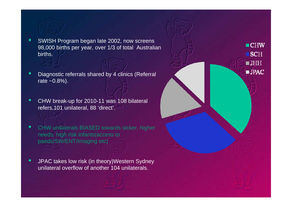- SWISH Program began late 2002, now screens 98,000 births per year, over 1/3 of total Australian births.
- Diagnostic referrals shared by 4 clinics (Referral rate  $~10.8\%$ ).
- CHW break-up for 2010-11 was 108 bilateral refers,101 unilateral, 88 'direct'.
- CHW unilaterals BIASED towards sicker, higher needs, high risk infants(access to paeds/SW/ENT/Imaging etc)
- JPAC takes low risk (in theory)Western Sydney unilateral overflow of another 104 unilaterals.

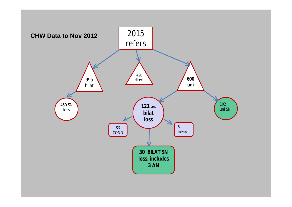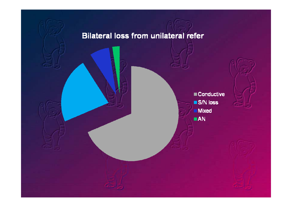## **Bilateral loss from unilateral refer**

Conductive S/N loss **Mixed**  $\blacksquare$  AN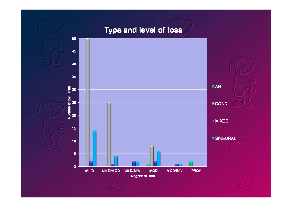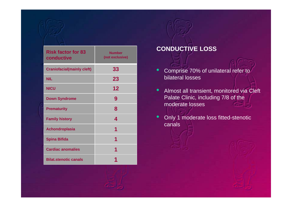| <b>Risk factor for 83</b><br>conductive | <b>Number</b><br>(not exclusive) |
|-----------------------------------------|----------------------------------|
| <b>Craniofacial(mainly cleft)</b>       | 33                               |
| <b>NIL</b>                              | 23                               |
| <b>NICU</b>                             | 12                               |
| <b>Down Syndrome</b>                    | 9                                |
| <b>Prematurity</b>                      | 8                                |
| <b>Family history</b>                   | 4                                |
| <b>Achondroplasia</b>                   | 1                                |
| <b>Spina Bifida</b>                     | 1                                |
| <b>Cardiac anomalies</b>                | 1                                |
| <b>Bilat.stenotic canals</b>            |                                  |

#### **CONDUCTIVE LOSS**

- Comprise 70% of unilateral refer to bilateral losses
- Almost all transient, monitored via Cleft Palate Clinic, including 7/8 of the moderate losses
- Only 1 moderate loss fitted-stenotic canals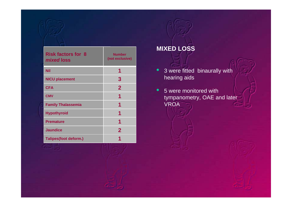| <b>Risk factors for 8</b><br>mixed loss | <b>Number</b><br>(not exclusive) |  |  |  |
|-----------------------------------------|----------------------------------|--|--|--|
| Nil                                     | 1                                |  |  |  |
| <b>NICU placement</b>                   | 3                                |  |  |  |
| <b>CFA</b>                              | $\mathbf{2}$                     |  |  |  |
| <b>CMV</b>                              | 1                                |  |  |  |
| <b>Family Thalassemia</b>               | 1                                |  |  |  |
| <b>Hypothyroid</b>                      | 1                                |  |  |  |
| <b>Premature</b>                        | 1                                |  |  |  |
| <b>Jaundice</b>                         | $\mathbf{2}$                     |  |  |  |
| <b>Talipes(foot deform.)</b>            | 1                                |  |  |  |

## **MIXED LOSS**

• 3 were fitted binaurally with hearing aids

• 5 were monitored with tympanometry, OAE and later VROA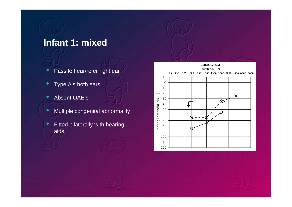## **Infant 1: mixed**

- Pass left ear/refer right ear
- Type A's both ears
- Absent OAE's
	- Multiple congenital abnormality
- **•** Fitted bilaterally with hearing aids

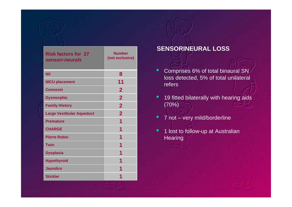| <b>Risk factors for 27</b><br>sensori-neurals | <b>Number</b><br>(not exclusive) |  |  |  |
|-----------------------------------------------|----------------------------------|--|--|--|
| <b>Nil</b>                                    | 8                                |  |  |  |
| <b>NICU placement</b>                         | 11                               |  |  |  |
| <b>Connexin</b>                               | $\overline{2}$                   |  |  |  |
| <b>Dysmorphic</b>                             | $\overline{2}$                   |  |  |  |
| <b>Family History</b>                         | $\overline{2}$                   |  |  |  |
| <b>Large Vestibular Aqueduct</b>              | $\overline{2}$                   |  |  |  |
| <b>Premature</b>                              | 1                                |  |  |  |
| <b>CHARGE</b>                                 | 1                                |  |  |  |
| <b>Pierre Robin</b>                           | 1                                |  |  |  |
| <b>Twin</b>                                   | 1                                |  |  |  |
| <b>Dysplasia</b>                              | 1                                |  |  |  |
| <b>Hypothyroid</b>                            | 1                                |  |  |  |
| <b>Jaundice</b>                               |                                  |  |  |  |
| <b>Stickler</b>                               |                                  |  |  |  |

#### **SENSORINEURAL LOSS**

- Comprises 6% of total binaural SN loss detected, 5% of total unilateral refers
- 19 fitted bilaterally with hearing aids (70%)
- 7 not very mild/borderline
- <sup>o</sup> 1 lost to follow-up at Australian **Hearing**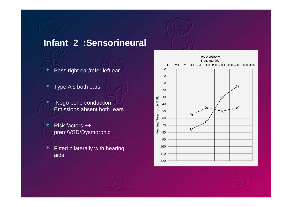# **Infant 2 :Sensorineural**

- Pass right ear/refer left ear
- Type A's both ears
- Nogo bone conduction Emissions absent both ears
- Risk factors ++ prem/VSD/Dysmorphic
- **•** Fitted bilaterally with hearing aids

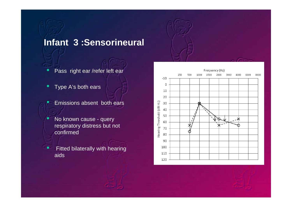# **Infant 3 :Sensorineural**

- Pass right ear /refer left ear
- Type A's both ears
	- Emissions absent both ears
	- No known cause query respiratory distress but not confirmed
- **•** Fitted bilaterally with hearing aids

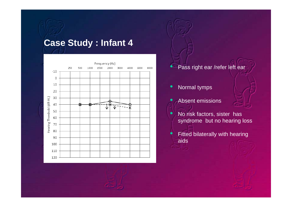# **Case Study : Infant 4**



#### • Pass right ear /refer left ear

- Normal tymps
- Absent emissions
- No risk factors, sister has syndrome but no hearing loss
- Fitted bilaterally with hearing aids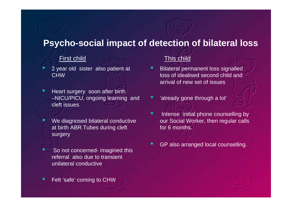## **Psycho-social impact of detection of bilateral loss**

#### **First child** This child

- 2 year old sister also patient at **CHW**
- Heart surgery soon after birth –NICU/PICU, ongoing learning and cleft issues
	- We diagnosed bilateral conductive at birth ABR.Tubes during cleft surgery
	- So not concerned- imagined this referral also due to transient unilateral conductive
- Felt 'safe' coming to CHW

- Bilateral permanent loss signalled loss of idealised second child and arrival of new set of issues
- 'already gone through a lot'
- Intense initial phone counselling by our Social Worker, then regular calls for 6 months.
- GP also arranged local counselling.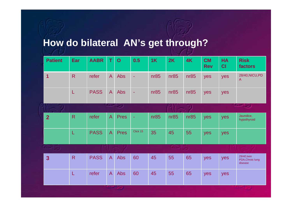# **How do bilateral AN's get through?**

|                         | <b>Patient</b>  | Ear            | <b>AABR</b> | T.             | $\overline{O}$ | 0.5            | 1K              | 2K           | 4K   | <b>CM</b><br><b>Rev</b> | <b>HA</b><br>CI | <b>Risk</b><br><b>factors</b>              |
|-------------------------|-----------------|----------------|-------------|----------------|----------------|----------------|-----------------|--------------|------|-------------------------|-----------------|--------------------------------------------|
| $\overline{\mathbf{1}}$ |                 | $\overline{R}$ | refer       | $\overline{A}$ | Abs            | $\equiv$       | nr85            | nr85         | nr85 | yes                     | yes             | 28/40, NICU, PD<br>A                       |
|                         |                 | L              | <b>PASS</b> | $\overline{A}$ | Abs            | $\blacksquare$ | nR <sub>5</sub> | nr85         | nr85 | yes                     | yes             |                                            |
|                         |                 |                |             |                | صاحبت          |                |                 |              |      |                         |                 | المسالحات                                  |
|                         | $\overline{2}$  | $\overline{R}$ | refer       | $\overline{A}$ | <b>Pres</b>    | $\sim$         | nr85            | nr85         | nr85 | yes                     | yes             | Jaundice,<br>hypothyroid                   |
|                         |                 | L              | <b>PASS</b> | $\overline{A}$ | <b>Pres</b>    | Click 15       | 35              | 45           | 55   | yes                     | yes             |                                            |
|                         | <b>COMPUTER</b> |                |             |                |                |                |                 | <b>Stand</b> |      |                         |                 |                                            |
|                         | $\overline{3}$  | $\overline{R}$ | <b>PASS</b> | $\overline{A}$ | Abs            | 60             | 45              | 55           | 65   | yes                     | yes             | 29/40, twin<br>PDA, Chroic lung<br>disease |
|                         |                 | L              | refer       | $\overline{A}$ | Abs            | 60             | 45              | 55           | 65   | yes                     | yes             |                                            |
|                         |                 |                |             |                |                |                |                 |              |      |                         |                 |                                            |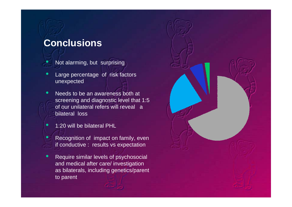# **Conclusions**

- Not alarming, but surprising
- Large percentage of risk factors unexpected
- Needs to be an awareness both at screening and diagnostic level that 1:5 of our unilateral refers will reveal a bilateral loss
- 1:20 will be bilateral PHL
	- Recognition of impact on family, even if conductive : results vs expectation
- Require similar levels of psychosocial and medical after care/ investigation as bilaterals, including genetics/parent to parent